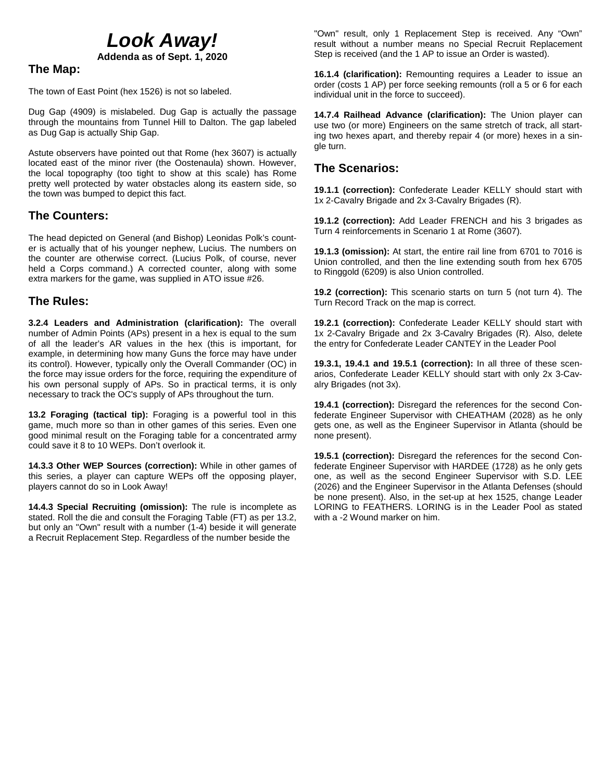# *Look Away!*

**Addenda as of Sept. 1, 2020**

# **The Map:**

The town of East Point (hex 1526) is not so labeled.

Dug Gap (4909) is mislabeled. Dug Gap is actually the passage through the mountains from Tunnel Hill to Dalton. The gap labeled as Dug Gap is actually Ship Gap.

Astute observers have pointed out that Rome (hex 3607) is actually located east of the minor river (the Oostenaula) shown. However, the local topography (too tight to show at this scale) has Rome pretty well protected by water obstacles along its eastern side, so the town was bumped to depict this fact.

# **The Counters:**

The head depicted on General (and Bishop) Leonidas Polk's counter is actually that of his younger nephew, Lucius. The numbers on the counter are otherwise correct. (Lucius Polk, of course, never held a Corps command.) A corrected counter, along with some extra markers for the game, was supplied in ATO issue #26.

### **The Rules:**

**3.2.4 Leaders and Administration (clarification):** The overall number of Admin Points (APs) present in a hex is equal to the sum of all the leader's AR values in the hex (this is important, for example, in determining how many Guns the force may have under its control). However, typically only the Overall Commander (OC) in the force may issue orders for the force, requiring the expenditure of his own personal supply of APs. So in practical terms, it is only necessary to track the OC's supply of APs throughout the turn.

**13.2 Foraging (tactical tip):** Foraging is a powerful tool in this game, much more so than in other games of this series. Even one good minimal result on the Foraging table for a concentrated army could save it 8 to 10 WEPs. Don't overlook it.

**14.3.3 Other WEP Sources (correction):** While in other games of this series, a player can capture WEPs off the opposing player, players cannot do so in Look Away!

**14.4.3 Special Recruiting (omission):** The rule is incomplete as stated. Roll the die and consult the Foraging Table (FT) as per 13.2, but only an "Own" result with a number (1-4) beside it will generate a Recruit Replacement Step. Regardless of the number beside the

"Own" result, only 1 Replacement Step is received. Any "Own" result without a number means no Special Recruit Replacement Step is received (and the 1 AP to issue an Order is wasted).

**16.1.4 (clarification):** Remounting requires a Leader to issue an order (costs 1 AP) per force seeking remounts (roll a 5 or 6 for each individual unit in the force to succeed).

**14.7.4 Railhead Advance (clarification):** The Union player can use two (or more) Engineers on the same stretch of track, all starting two hexes apart, and thereby repair 4 (or more) hexes in a single turn.

## **The Scenarios:**

**19.1.1 (correction):** Confederate Leader KELLY should start with 1x 2-Cavalry Brigade and 2x 3-Cavalry Brigades (R).

**19.1.2 (correction):** Add Leader FRENCH and his 3 brigades as Turn 4 reinforcements in Scenario 1 at Rome (3607).

**19.1.3 (omission):** At start, the entire rail line from 6701 to 7016 is Union controlled, and then the line extending south from hex 6705 to Ringgold (6209) is also Union controlled.

**19.2 (correction):** This scenario starts on turn 5 (not turn 4). The Turn Record Track on the map is correct.

**19.2.1 (correction):** Confederate Leader KELLY should start with 1x 2-Cavalry Brigade and 2x 3-Cavalry Brigades (R). Also, delete the entry for Confederate Leader CANTEY in the Leader Pool

**19.3.1, 19.4.1 and 19.5.1 (correction):** In all three of these scenarios, Confederate Leader KELLY should start with only 2x 3-Cavalry Brigades (not 3x).

**19.4.1 (correction):** Disregard the references for the second Confederate Engineer Supervisor with CHEATHAM (2028) as he only gets one, as well as the Engineer Supervisor in Atlanta (should be none present).

**19.5.1 (correction):** Disregard the references for the second Confederate Engineer Supervisor with HARDEE (1728) as he only gets one, as well as the second Engineer Supervisor with S.D. LEE (2026) and the Engineer Supervisor in the Atlanta Defenses (should be none present). Also, in the set-up at hex 1525, change Leader LORING to FEATHERS. LORING is in the Leader Pool as stated with a -2 Wound marker on him.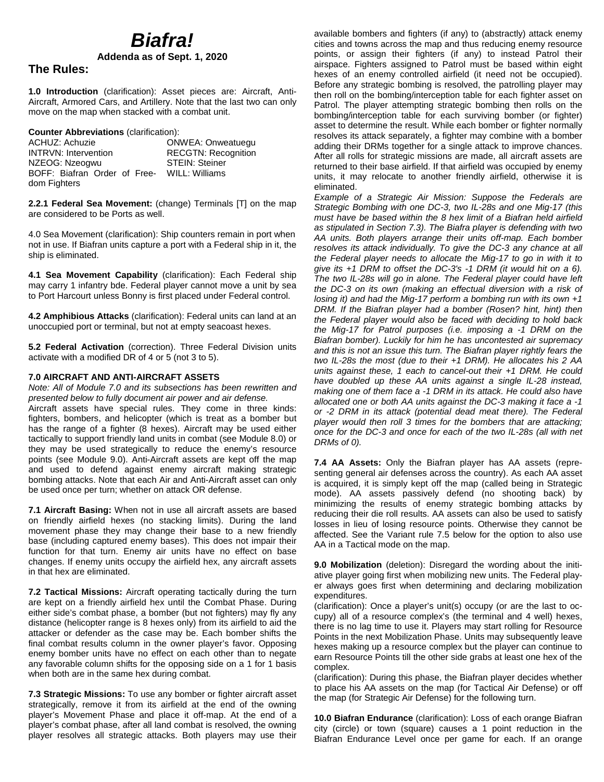# *Biafra!*

**Addenda as of Sept. 1, 2020**

### **The Rules:**

**1.0 Introduction** (clarification): Asset pieces are: Aircraft, Anti-Aircraft, Armored Cars, and Artillery. Note that the last two can only move on the map when stacked with a combat unit.

**Counter Abbreviations** (clarification):

| ACHUZ: Achuzie               | <b>ONWEA: Onweatuegu</b>   |
|------------------------------|----------------------------|
| <b>INTRVN: Intervention</b>  | <b>RECGTN: Recognition</b> |
| NZEOG: Nzeogwu               | <b>STEIN: Steiner</b>      |
| BOFF: Biafran Order of Free- | WILL: Williams             |
| dom Fighters                 |                            |

**2.2.1 Federal Sea Movement:** (change) Terminals [T] on the map are considered to be Ports as well.

4.0 Sea Movement (clarification): Ship counters remain in port when not in use. If Biafran units capture a port with a Federal ship in it, the ship is eliminated.

**4.1 Sea Movement Capability** (clarification): Each Federal ship may carry 1 infantry bde. Federal player cannot move a unit by sea to Port Harcourt unless Bonny is first placed under Federal control.

**4.2 Amphibious Attacks** (clarification): Federal units can land at an unoccupied port or terminal, but not at empty seacoast hexes.

**5.2 Federal Activation** (correction). Three Federal Division units activate with a modified DR of 4 or 5 (not 3 to 5).

#### **7.0 AIRCRAFT AND ANTI-AIRCRAFT ASSETS**

*Note: All of Module 7.0 and its subsections has been rewritten and presented below to fully document air power and air defense.*

Aircraft assets have special rules. They come in three kinds: fighters, bombers, and helicopter (which is treat as a bomber but has the range of a fighter (8 hexes). Aircraft may be used either tactically to support friendly land units in combat (see Module 8.0) or they may be used strategically to reduce the enemy's resource points (see Module 9.0). Anti-Aircraft assets are kept off the map and used to defend against enemy aircraft making strategic bombing attacks. Note that each Air and Anti-Aircraft asset can only be used once per turn; whether on attack OR defense.

**7.1 Aircraft Basing:** When not in use all aircraft assets are based on friendly airfield hexes (no stacking limits). During the land movement phase they may change their base to a new friendly base (including captured enemy bases). This does not impair their function for that turn. Enemy air units have no effect on base changes. If enemy units occupy the airfield hex, any aircraft assets in that hex are eliminated.

**7.2 Tactical Missions:** Aircraft operating tactically during the turn are kept on a friendly airfield hex until the Combat Phase. During either side's combat phase, a bomber (but not fighters) may fly any distance (helicopter range is 8 hexes only) from its airfield to aid the attacker or defender as the case may be. Each bomber shifts the final combat results column in the owner player's favor. Opposing enemy bomber units have no effect on each other than to negate any favorable column shifts for the opposing side on a 1 for 1 basis when both are in the same hex during combat.

**7.3 Strategic Missions:** To use any bomber or fighter aircraft asset strategically, remove it from its airfield at the end of the owning player's Movement Phase and place it off-map. At the end of a player's combat phase, after all land combat is resolved, the owning player resolves all strategic attacks. Both players may use their

available bombers and fighters (if any) to (abstractly) attack enemy cities and towns across the map and thus reducing enemy resource points, or assign their fighters (if any) to instead Patrol their airspace. Fighters assigned to Patrol must be based within eight hexes of an enemy controlled airfield (it need not be occupied). Before any strategic bombing is resolved, the patrolling player may then roll on the bombing/interception table for each fighter asset on Patrol. The player attempting strategic bombing then rolls on the bombing/interception table for each surviving bomber (or fighter) asset to determine the result. While each bomber or fighter normally resolves its attack separately, a fighter may combine with a bomber adding their DRMs together for a single attack to improve chances. After all rolls for strategic missions are made, all aircraft assets are returned to their base airfield. If that airfield was occupied by enemy units, it may relocate to another friendly airfield, otherwise it is eliminated.

*Example of a Strategic Air Mission: Suppose the Federals are Strategic Bombing with one DC-3, two IL-28s and one Mig-17 (this must have be based within the 8 hex limit of a Biafran held airfield as stipulated in Section 7.3). The Biafra player is defending with two AA units. Both players arrange their units off-map. Each bomber resolves its attack individually. To give the DC-3 any chance at all the Federal player needs to allocate the Mig-17 to go in with it to give its +1 DRM to offset the DC-3's -1 DRM (it would hit on a 6). The two IL-28s will go in alone. The Federal player could have left the DC-3 on its own (making an effectual diversion with a risk of losing it) and had the Mig-17 perform a bombing run with its own +1 DRM. If the Biafran player had a bomber (Rosen? hint, hint) then the Federal player would also be faced with deciding to hold back the Mig-17 for Patrol purposes (i.e. imposing a -1 DRM on the Biafran bomber). Luckily for him he has uncontested air supremacy and this is not an issue this turn. The Biafran player rightly fears the two IL-28s the most (due to their +1 DRM). He allocates his 2 AA units against these, 1 each to cancel-out their +1 DRM. He could have doubled up these AA units against a single IL-28 instead, making one of them face a -1 DRM in its attack. He could also have allocated one or both AA units against the DC-3 making it face a -1 or -2 DRM in its attack (potential dead meat there). The Federal player would then roll 3 times for the bombers that are attacking; once for the DC-3 and once for each of the two IL-28s (all with net DRMs of 0).*

**7.4 AA Assets:** Only the Biafran player has AA assets (representing general air defenses across the country). As each AA asset is acquired, it is simply kept off the map (called being in Strategic mode). AA assets passively defend (no shooting back) by minimizing the results of enemy strategic bombing attacks by reducing their die roll results. AA assets can also be used to satisfy losses in lieu of losing resource points. Otherwise they cannot be affected. See the Variant rule 7.5 below for the option to also use AA in a Tactical mode on the map.

**9.0 Mobilization** (deletion): Disregard the wording about the initiative player going first when mobilizing new units. The Federal player always goes first when determining and declaring mobilization expenditures.

(clarification): Once a player's unit(s) occupy (or are the last to occupy) all of a resource complex's (the terminal and 4 well) hexes, there is no lag time to use it. Players may start rolling for Resource Points in the next Mobilization Phase. Units may subsequently leave hexes making up a resource complex but the player can continue to earn Resource Points till the other side grabs at least one hex of the complex.

(clarification): During this phase, the Biafran player decides whether to place his AA assets on the map (for Tactical Air Defense) or off the map (for Strategic Air Defense) for the following turn.

**10.0 Biafran Endurance** (clarification): Loss of each orange Biafran city (circle) or town (square) causes a 1 point reduction in the Biafran Endurance Level once per game for each. If an orange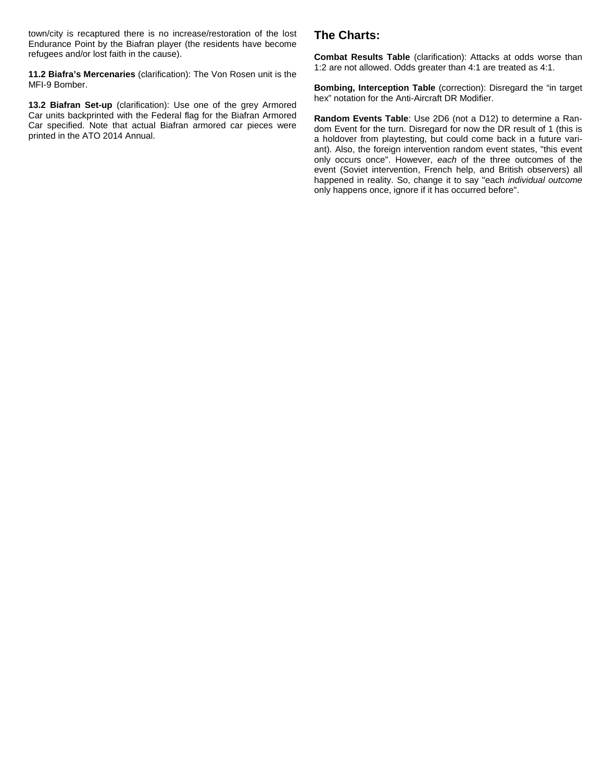town/city is recaptured there is no increase/restoration of the lost Endurance Point by the Biafran player (the residents have become refugees and/or lost faith in the cause).

**11.2 Biafra's Mercenaries** (clarification): The Von Rosen unit is the MFI-9 Bomber.

**13.2 Biafran Set-up** (clarification): Use one of the grey Armored Car units backprinted with the Federal flag for the Biafran Armored Car specified. Note that actual Biafran armored car pieces were printed in the ATO 2014 Annual.

# **The Charts:**

**Combat Results Table** (clarification): Attacks at odds worse than 1:2 are not allowed. Odds greater than 4:1 are treated as 4:1.

**Bombing, Interception Table** (correction): Disregard the "in target hex" notation for the Anti-Aircraft DR Modifier.

**Random Events Table**: Use 2D6 (not a D12) to determine a Random Event for the turn. Disregard for now the DR result of 1 (this is a holdover from playtesting, but could come back in a future variant). Also, the foreign intervention random event states, "this event only occurs once". However, *each* of the three outcomes of the event (Soviet intervention, French help, and British observers) all happened in reality. So, change it to say "each *individual outcome* only happens once, ignore if it has occurred before".